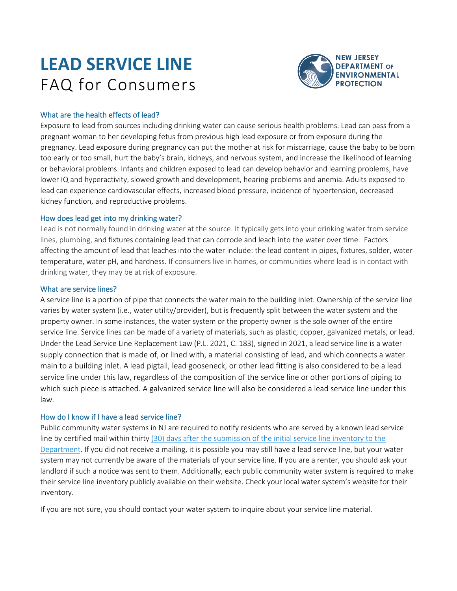# **LEAD SERVICE LINE** FAQ for Consumers



# What are the health effects of lead?

Exposure to lead from sources including drinking water can cause serious health problems. Lead can pass from a pregnant woman to her developing fetus from previous high lead exposure or from exposure during the pregnancy. Lead exposure during pregnancy can put the mother at risk for miscarriage, cause the baby to be born too early or too small, hurt the baby's brain, kidneys, and nervous system, and increase the likelihood of learning or behavioral problems. Infants and children exposed to lead can develop behavior and learning problems, have lower IQ and hyperactivity, slowed growth and development, hearing problems and anemia. Adults exposed to lead can experience cardiovascular effects, increased blood pressure, incidence of hypertension, decreased kidney function, and reproductive problems.

# How does lead get into my drinking water?

Lead is not normally found in drinking water at the source. It typically gets into your drinking water from service lines, plumbing, and fixtures containing lead that can corrode and leach into the water over time. Factors affecting the amount of lead that leaches into the water include: the lead content in pipes, fixtures, solder, water temperature, water pH, and hardness. If consumers live in homes, or communities where lead is in contact with drinking water, they may be at risk of exposure.

# What are service lines?

A service line is a portion of pipe that connects the water main to the building inlet. Ownership of the service line varies by water system (i.e., water utility/provider), but is frequently split between the water system and the property owner. In some instances, the water system or the property owner is the sole owner of the entire service line. Service lines can be made of a variety of materials, such as plastic, copper, galvanized metals, or lead. Under the Lead Service Line Replacement Law (P.L. 2021, C. 183), signed in 2021, a lead service line is a water supply connection that is made of, or lined with, a material consisting of lead, and which connects a water main to a building inlet. A lead pigtail, lead gooseneck, or other lead fitting is also considered to be a lead service line under this law, regardless of the composition of the service line or other portions of piping to which such piece is attached. A galvanized service line will also be considered a lead service line under this law.

# How do I know if I have a lead service line?

Public community water systems in NJ are required to notify residents who are served by a known lead service line by certified mail within thirty (30) days after the submission of the initial service line inventory to the Department. If you did not receive a mailing, it is possible you may still have a lead service line, but your water system may not currently be aware of the materials of your service line. If you are a renter, you should ask your landlord if such a notice was sent to them. Additionally, each public community water system is required to make their service line inventory publicly available on their website. Check your local water system's website for their inventory.

If you are not sure, you should contact your water system to inquire about your service line material.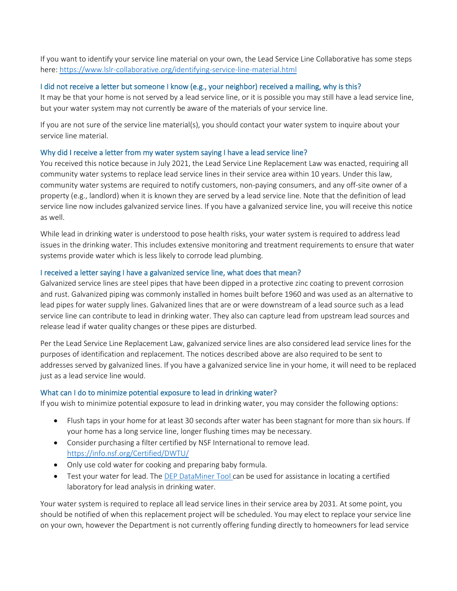If you want to identify your service line material on your own, the Lead Service Line Collaborative has some steps here:<https://www.lslr-collaborative.org/identifying-service-line-material.html>

# I did not receive a letter but someone I know (e.g., your neighbor) received a mailing, why is this?

It may be that your home is not served by a lead service line, or it is possible you may still have a lead service line, but your water system may not currently be aware of the materials of your service line.

If you are not sure of the service line material(s), you should contact your water system to inquire about your service line material.

#### Why did I receive a letter from my water system saying I have a lead service line?

You received this notice because in July 2021, the Lead Service Line Replacement Law was enacted, requiring all community water systems to replace lead service lines in their service area within 10 years. Under this law, community water systems are required to notify customers, non-paying consumers, and any off-site owner of a property (e.g., landlord) when it is known they are served by a lead service line. Note that the definition of lead service line now includes galvanized service lines. If you have a galvanized service line, you will receive this notice as well.

While lead in drinking water is understood to pose health risks, your water system is required to address lead issues in the drinking water. This includes extensive monitoring and treatment requirements to ensure that water systems provide water which is less likely to corrode lead plumbing.

#### I received a letter saying I have a galvanized service line, what does that mean?

Galvanized service lines are steel pipes that have been dipped in a protective zinc coating to prevent corrosion and rust. Galvanized piping was commonly installed in homes built before 1960 and was used as an alternative to lead pipes for water supply lines. Galvanized lines that are or were downstream of a lead source such as a lead service line can contribute to lead in drinking water. They also can capture lead from upstream lead sources and release lead if water quality changes or these pipes are disturbed.

Per the Lead Service Line Replacement Law, galvanized service lines are also considered lead service lines for the purposes of identification and replacement. The notices described above are also required to be sent to addresses served by galvanized lines. If you have a galvanized service line in your home, it will need to be replaced just as a lead service line would.

#### What can I do to minimize potential exposure to lead in drinking water?

If you wish to minimize potential exposure to lead in drinking water, you may consider the following options:

- Flush taps in your home for at least 30 seconds after water has been stagnant for more than six hours. If your home has a long service line, longer flushing times may be necessary.
- Consider purchasing a filter certified by NSF International to remove lead. <https://info.nsf.org/Certified/DWTU/>
- Only use cold water for cooking and preparing baby formula.
- Test your water for lead. The [DEP DataMiner Tool](https://www13.state.nj.us/DataMiner/Search/SearchByCategory?isExternal=y&getCategory=y&catName=Certified+Laboratories) can be used for assistance in locating a certified laboratory for lead analysis in drinking water.

Your water system is required to replace all lead service lines in their service area by 2031. At some point, you should be notified of when this replacement project will be scheduled. You may elect to replace your service line on your own, however the Department is not currently offering funding directly to homeowners for lead service